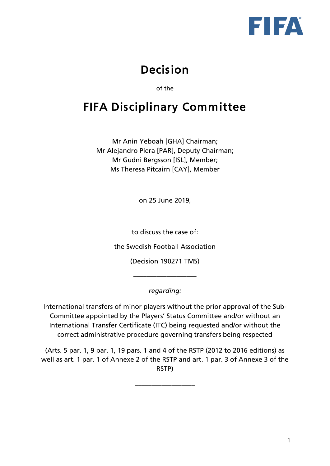

# Decision

of the

# FIFA Disciplinary Committee

Mr Anin Yeboah [GHA] Chairman; Mr Alejandro Piera [PAR], Deputy Chairman; Mr Gudni Bergsson [ISL], Member; Ms Theresa Pitcairn [CAY], Member

on 25 June 2019,

to discuss the case of:

the Swedish Football Association

(Decision 190271 TMS)

*regarding:*

–––––––––––––––––––

International transfers of minor players without the prior approval of the Sub-Committee appointed by the Players' Status Committee and/or without an International Transfer Certificate (ITC) being requested and/or without the correct administrative procedure governing transfers being respected

(Arts. 5 par. 1, 9 par. 1, 19 pars. 1 and 4 of the RSTP (2012 to 2016 editions) as well as art. 1 par. 1 of Annexe 2 of the RSTP and art. 1 par. 3 of Annexe 3 of the RSTP)

––––––––––––––––––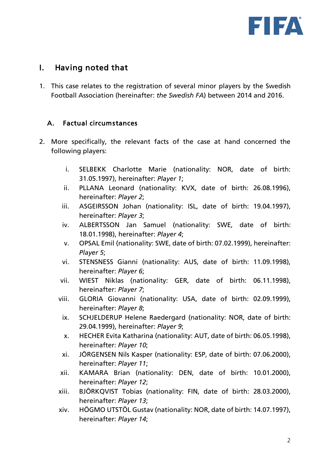

### I. Having noted that

1. This case relates to the registration of several minor players by the Swedish Football Association (hereinafter: *the Swedish FA*) between 2014 and 2016.

#### A. Factual circumstances

- 2. More specifically, the relevant facts of the case at hand concerned the following players:
	- i. SELBEKK Charlotte Marie (nationality: NOR, date of birth: 31.05.1997), hereinafter: *Player 1*;
	- ii. PLLANA Leonard (nationality: KVX, date of birth: 26.08.1996), hereinafter: *Player 2*;
	- iii. ASGEIRSSON Johan (nationality: ISL, date of birth: 19.04.1997), hereinafter: *Player 3*;
	- iv. ALBERTSSON Jan Samuel (nationality: SWE, date of birth: 18.01.1998), hereinafter: *Player 4*;
	- v. OPSAL Emil (nationality: SWE, date of birth: 07.02.1999), hereinafter: *Player 5*;
	- vi. STENSNESS Gianni (nationality: AUS, date of birth: 11.09.1998), hereinafter: *Player 6*;
	- vii. WIEST Niklas (nationality: GER, date of birth: 06.11.1998), hereinafter: *Player 7*;
	- viii. GLORIA Giovanni (nationality: USA, date of birth: 02.09.1999), hereinafter: *Player 8*;
		- ix. SCHJELDERUP Helene Raedergard (nationality: NOR, date of birth: 29.04.1999), hereinafter: *Player 9*;
		- x. HECHER Evita Katharina (nationality: AUT, date of birth: 06.05.1998), hereinafter: *Player 10*;
		- xi. JÖRGENSEN Nils Kasper (nationality: ESP, date of birth: 07.06.2000), hereinafter: *Player 11*;
	- xii. KAMARA Brian (nationality: DEN, date of birth: 10.01.2000), hereinafter: *Player 12*;
	- xiii. BJÖRKQVIST Tobias (nationality: FIN, date of birth: 28.03.2000), hereinafter: *Player 13*;
	- xiv. HÖGMO UTSTÖL Gustav (nationality: NOR, date of birth: 14.07.1997), hereinafter: *Player 14*;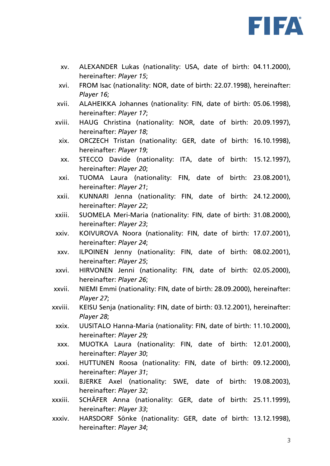

- xv. ALEXANDER Lukas (nationality: USA, date of birth: 04.11.2000), hereinafter: *Player 15*;
- xvi. FROM Isac (nationality: NOR, date of birth: 22.07.1998), hereinafter: *Player 16*;
- xvii. ALAHEIKKA Johannes (nationality: FIN, date of birth: 05.06.1998), hereinafter: *Player 17*;
- xviii. HAUG Christina (nationality: NOR, date of birth: 20.09.1997), hereinafter: *Player 18*;
- xix. ORCZECH Tristan (nationality: GER, date of birth: 16.10.1998), hereinafter: *Player 19*;
- xx. STECCO Davide (nationality: ITA, date of birth: 15.12.1997), hereinafter: *Player 20*;
- xxi. TUOMA Laura (nationality: FIN, date of birth: 23.08.2001), hereinafter: *Player 21*;
- xxii. KUNNARI Jenna (nationality: FIN, date of birth: 24.12.2000), hereinafter: *Player 22*;
- xxiii. SUOMELA Meri-Maria (nationality: FIN, date of birth: 31.08.2000), hereinafter: *Player 23*;
- xxiv. KOIVUROVA Noora (nationality: FIN, date of birth: 17.07.2001), hereinafter: *Player 24*;
- xxv. ILPOINEN Jenny (nationality: FIN, date of birth: 08.02.2001), hereinafter: *Player 25*;
- xxvi. HIRVONEN Jenni (nationality: FIN, date of birth: 02.05.2000), hereinafter: *Player 26*;
- xxvii. NIEMI Emmi (nationality: FIN, date of birth: 28.09.2000), hereinafter: *Player 27*;
- xxviii. KEISU Senja (nationality: FIN, date of birth: 03.12.2001), hereinafter: *Player 28*;
	- xxix. UUSITALO Hanna-Maria (nationality: FIN, date of birth: 11.10.2000), hereinafter: *Player 29;*
	- xxx. MUOTKA Laura (nationality: FIN, date of birth: 12.01.2000), hereinafter: *Player 30*;
- xxxi. HUTTUNEN Roosa (nationality: FIN, date of birth: 09.12.2000), hereinafter: *Player 31*;
- xxxii. BJERKE Axel (nationality: SWE, date of birth: 19.08.2003), hereinafter: *Player 32*;
- xxxiii. SCHÄFER Anna (nationality: GER, date of birth: 25.11.1999), hereinafter: *Player 33*;
- xxxiv. HARSDORF Sönke (nationality: GER, date of birth: 13.12.1998), hereinafter: *Player 34*;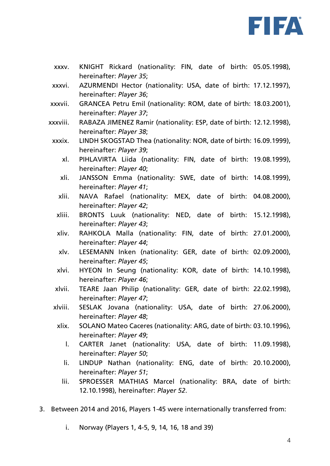

- xxxv. KNIGHT Rickard (nationality: FIN, date of birth: 05.05.1998), hereinafter: *Player 35*;
- xxxvi. AZURMENDI Hector (nationality: USA, date of birth: 17.12.1997), hereinafter: *Player 36*;
- xxxvii. GRANCEA Petru Emil (nationality: ROM, date of birth: 18.03.2001), hereinafter: *Player 37*;
- xxxviii. RABAZA JIMENEZ Ramir (nationality: ESP, date of birth: 12.12.1998), hereinafter: *Player 38*;
- xxxix. LINDH SKOGSTAD Thea (nationality: NOR, date of birth: 16.09.1999), hereinafter: *Player 39*;
	- xl. PIHLAVIRTA Liida (nationality: FIN, date of birth: 19.08.1999), hereinafter: *Player 40*;
	- xli. JANSSON Emma (nationality: SWE, date of birth: 14.08.1999), hereinafter: *Player 41*;
	- xlii. NAVA Rafael (nationality: MEX, date of birth: 04.08.2000), hereinafter: *Player 42*;
	- xliii. BRONTS Luuk (nationality: NED, date of birth: 15.12.1998), hereinafter: *Player 43*;
	- xliv. RAHKOLA Malla (nationality: FIN, date of birth: 27.01.2000), hereinafter: *Player 44*;
	- xlv. LESEMANN Inken (nationality: GER, date of birth: 02.09.2000), hereinafter: *Player 45*;
	- xlvi. HYEON In Seung (nationality: KOR, date of birth: 14.10.1998), hereinafter: *Player 46*;
	- xlvii. TEARE Jaan Philip (nationality: GER, date of birth: 22.02.1998), hereinafter: *Player 47*;
- xlviii. SESLAK Jovana (nationality: USA, date of birth: 27.06.2000), hereinafter: *Player 48*;
	- xlix. SOLANO Mateo Caceres (nationality: ARG, date of birth: 03.10.1996), hereinafter: *Player 49*;
		- l. CARTER Janet (nationality: USA, date of birth: 11.09.1998), hereinafter: *Player 50*;
		- li. LINDUP Nathan (nationality: ENG, date of birth: 20.10.2000), hereinafter: *Player 51*;
		- lii. SPROESSER MATHIAS Marcel (nationality: BRA, date of birth: 12.10.1998), hereinafter: *Player 52*.
- 3. Between 2014 and 2016, Players 1-45 were internationally transferred from:
	- i. Norway (Players 1, 4-5, 9, 14, 16, 18 and 39)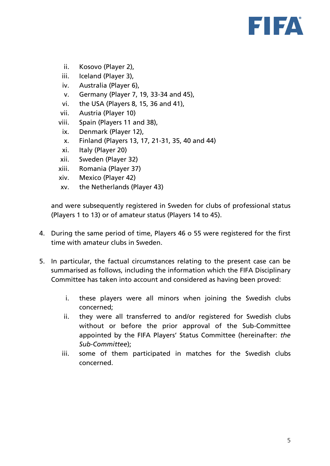

- ii. Kosovo (Player 2),
- iii. Iceland (Player 3),
- iv. Australia (Player 6),
- v. Germany (Player 7, 19, 33-34 and 45),
- vi. the USA (Players 8, 15, 36 and 41),
- vii. Austria (Player 10)
- viii. Spain (Players 11 and 38),
- ix. Denmark (Player 12),
- x. Finland (Players 13, 17, 21-31, 35, 40 and 44)
- xi. Italy (Player 20)
- xii. Sweden (Player 32)
- xiii. Romania (Player 37)
- xiv. Mexico (Player 42)
- xv. the Netherlands (Player 43)

and were subsequently registered in Sweden for clubs of professional status (Players 1 to 13) or of amateur status (Players 14 to 45).

- 4. During the same period of time, Players 46 o 55 were registered for the first time with amateur clubs in Sweden.
- 5. In particular, the factual circumstances relating to the present case can be summarised as follows, including the information which the FIFA Disciplinary Committee has taken into account and considered as having been proved:
	- i. these players were all minors when joining the Swedish clubs concerned;
	- ii. they were all transferred to and/or registered for Swedish clubs without or before the prior approval of the Sub-Committee appointed by the FIFA Players' Status Committee (hereinafter: *the Sub-Committee*);
	- iii. some of them participated in matches for the Swedish clubs concerned.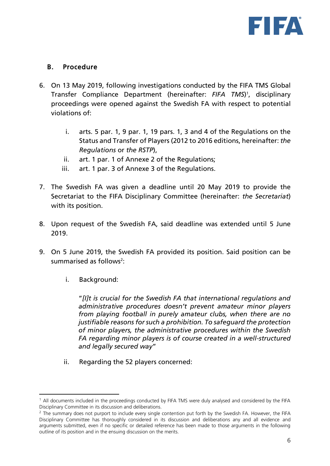

#### B. Procedure

- 6. On 13 May 2019, following investigations conducted by the FIFA TMS Global Transfer Compliance Department (hereinafter: *FIFA TMS*) 1 , disciplinary proceedings were opened against the Swedish FA with respect to potential violations of:
	- i. arts. 5 par. 1, 9 par. 1, 19 pars. 1, 3 and 4 of the Regulations on the Status and Transfer of Players (2012 to 2016 editions, hereinafter: *the Regulations* or *the RSTP*),
	- ii. art. 1 par. 1 of Annexe 2 of the Regulations;
	- iii. art. 1 par. 3 of Annexe 3 of the Regulations.
- 7. The Swedish FA was given a deadline until 20 May 2019 to provide the Secretariat to the FIFA Disciplinary Committee (hereinafter: *the Secretariat*) with its position.
- 8. Upon request of the Swedish FA, said deadline was extended until 5 June 2019.
- 9. On 5 June 2019, the Swedish FA provided its position. Said position can be summarised as follows<sup>2</sup>:
	- i. Background:

"*[I]t is crucial for the Swedish FA that international regulations and administrative procedures doesn't prevent amateur minor players from playing football in purely amateur clubs, when there are no justifiable reasons for such a prohibition. To safeguard the protection of minor players, the administrative procedures within the Swedish FA regarding minor players is of course created in a well-structured and legally secured way*"

ii. Regarding the 52 players concerned:

 $<sup>1</sup>$  All documents included in the proceedings conducted by FIFA TMS were duly analysed and considered by the FIFA</sup> Disciplinary Committee in its discussion and deliberations.

<sup>&</sup>lt;sup>2</sup> The summary does not purport to include every single contention put forth by the Swedish FA. However, the FIFA Disciplinary Committee has thoroughly considered in its discussion and deliberations any and all evidence and arguments submitted, even if no specific or detailed reference has been made to those arguments in the following outline of its position and in the ensuing discussion on the merits.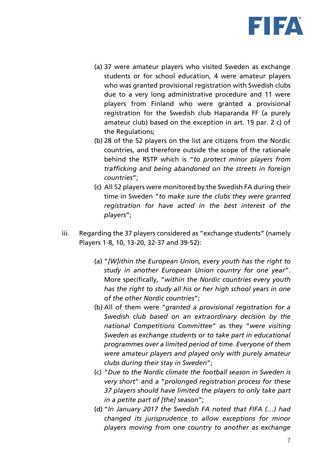

- (a) 37 were amateur players who visited Sweden as exchange students or for school education, 4 were amateur players who was granted provisional registration with Swedish clubs due to a very long administrative procedure and 11 were players from Finland who were granted a provisional registration for the Swedish club Haparanda FF (a purely amateur club) based on the exception in art. 19 par. 2 c) of the Regulations;
- (b) 28 of the 52 players on the list are citizens from the Nordic countries, and therefore outside the scope of the rationale behind the RSTP which is "*to protect minor players from trafficking and being abandoned on the streets in foreign countries*";
- (c) All 52 players were monitored by the Swedish FA during their time in Sweden "*to make sure the clubs they were granted registration for have acted in the best interest of the players*";
- iii. Regarding the 37 players considered as "exchange students" (namely Players 1-8, 10, 13-20, 32-37 and 39-52):
	- (a) "*[W]ithin the European Union, every youth has the right to study in another European Union country for one year*". More specifically, "*within the Nordic countries every youth has the right to study all his or her high school years in one of the other Nordic countries*";
	- (b) All of them were "*granted a provisional registration for a Swedish club based on an extraordinary decision by the national Competitions Committee*" as they "*were visiting Sweden as exchange students or to take part in educational programmes over a limited period of time. Everyone of them were amateur players and played only with purely amateur clubs during their stay in Sweden*";
	- (c) "*Due to the Nordic climate the football season in Sweden is very short*" and a "*prolonged registration process for these 37 players should have limited the players to only take part in a petite part of [the] season*";
	- (d) "*In January 2017 the Swedish FA noted that FIFA (…) had changed its jurisprudence to allow exceptions for minor players moving from one country to another as exchange*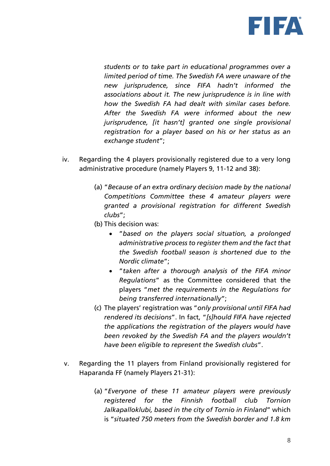

*students or to take part in educational programmes over a limited period of time. The Swedish FA were unaware of the new jurisprudence, since FIFA hadn't informed the associations about it. The new jurisprudence is in line with how the Swedish FA had dealt with similar cases before. After the Swedish FA were informed about the new jurisprudence, [it hasn't] granted one single provisional registration for a player based on his or her status as an exchange student*";

- iv. Regarding the 4 players provisionally registered due to a very long administrative procedure (namely Players 9, 11-12 and 38):
	- (a) "*Because of an extra ordinary decision made by the national Competitions Committee these 4 amateur players were granted a provisional registration for different Swedish clubs*";
	- (b) This decision was:
		- "*based on the players social situation, a prolonged administrative process to register them and the fact that the Swedish football season is shortened due to the Nordic climate*";
		- "*taken after a thorough analysis of the FIFA minor Regulations*" as the Committee considered that the players "*met the requirements in the Regulations for being transferred internationally*";
	- (c) The players' registration was "*only provisional until FIFA had rendered its decisions*". In fact, "*[s]hould FIFA have rejected the applications the registration of the players would have been revoked by the Swedish FA and the players wouldn't have been eligible to represent the Swedish clubs*".
- v. Regarding the 11 players from Finland provisionally registered for Haparanda FF (namely Players 21-31):
	- (a) "*Everyone of these 11 amateur players were previously registered for the Finnish football club Tornion Jalkapalloklubi, based in the city of Tornio in Finland*" which is "*situated 750 meters from the Swedish border and 1.8 km*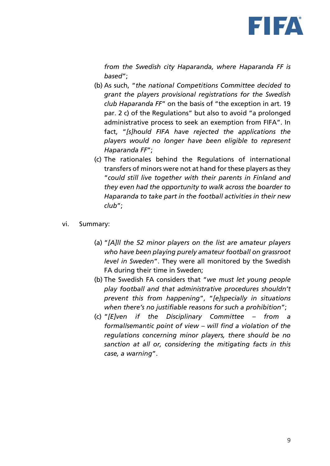

*from the Swedish city Haparanda, where Haparanda FF is based*";

- (b) As such, "*the national Competitions Committee decided to grant the players provisional registrations for the Swedish club Haparanda FF*" on the basis of "the exception in art. 19 par. 2 c) of the Regulations" but also to avoid "a prolonged administrative process to seek an exemption from FIFA". In fact, "*[s]hould FIFA have rejected the applications the players would no longer have been eligible to represent Haparanda FF*";
- (c) The rationales behind the Regulations of international transfers of minors were not at hand for these players as they "*could still live together with their parents in Finland and they even had the opportunity to walk across the boarder to Haparanda to take part in the football activities in their new club*";
- vi. Summary:
	- (a) "*[A]ll the 52 minor players on the list are amateur players who have been playing purely amateur football on grassroot level in Sweden*". They were all monitored by the Swedish FA during their time in Sweden;
	- (b) The Swedish FA considers that "*we must let young people play football and that administrative procedures shouldn't prevent this from happening*", "*[e]specially in situations when there's no justifiable reasons for such a prohibition*";
	- (c) "*[E]ven if the Disciplinary Committee – from a formal/semantic point of view – will find a violation of the regulations concerning minor players, there should be no sanction at all or, considering the mitigating facts in this case, a warning*".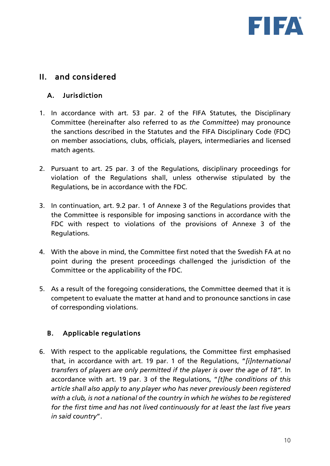

## II. and considered

#### A. Jurisdiction

- 1. In accordance with art. 53 par. 2 of the FIFA Statutes, the Disciplinary Committee (hereinafter also referred to as *the Committee*) may pronounce the sanctions described in the Statutes and the FIFA Disciplinary Code (FDC) on member associations, clubs, officials, players, intermediaries and licensed match agents.
- 2. Pursuant to art. 25 par. 3 of the Regulations, disciplinary proceedings for violation of the Regulations shall, unless otherwise stipulated by the Regulations, be in accordance with the FDC.
- 3. In continuation, art. 9.2 par. 1 of Annexe 3 of the Regulations provides that the Committee is responsible for imposing sanctions in accordance with the FDC with respect to violations of the provisions of Annexe 3 of the Regulations.
- 4. With the above in mind, the Committee first noted that the Swedish FA at no point during the present proceedings challenged the jurisdiction of the Committee or the applicability of the FDC.
- 5. As a result of the foregoing considerations, the Committee deemed that it is competent to evaluate the matter at hand and to pronounce sanctions in case of corresponding violations.

#### B. Applicable regulations

6. With respect to the applicable regulations, the Committee first emphasised that, in accordance with art. 19 par. 1 of the Regulations, "*[i]nternational transfers of players are only permitted if the player is over the age of 18".* In accordance with art. 19 par. 3 of the Regulations, "*[t]he conditions of this article shall also apply to any player who has never previously been registered with a club, is not a national of the country in which he wishes to be registered for the first time and has not lived continuously for at least the last five years in said country*".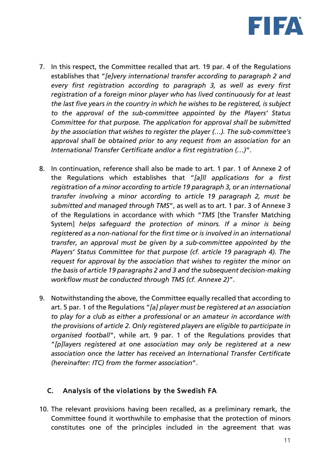

- 7. In this respect, the Committee recalled that art. 19 par. 4 of the Regulations establishes that "*[e]very international transfer according to paragraph 2 and every first registration according to paragraph 3, as well as every first registration of a foreign minor player who has lived continuously for at least the last five years in the country in which he wishes to be registered, is subject to the approval of the sub-committee appointed by the Players' Status Committee for that purpose. The application for approval shall be submitted by the association that wishes to register the player (…). The sub-committee's approval shall be obtained prior to any request from an association for an International Transfer Certificate and/or a first registration (…)*".
- 8. In continuation, reference shall also be made to art. 1 par. 1 of Annexe 2 of the Regulations which establishes that "*[a]ll applications for a first registration of a minor according to article 19 paragraph 3, or an international transfer involving a minor according to article 19 paragraph 2, must be submitted and managed through TMS*", as well as to art. 1 par. 3 of Annexe 3 of the Regulations in accordance with which "*TMS* [the Transfer Matching System] *helps safeguard the protection of minors. If a minor is being registered as a non-national for the first time or is involved in an international transfer, an approval must be given by a sub-committee appointed by the Players' Status Committee for that purpose (cf. article 19 paragraph 4). The request for approval by the association that wishes to register the minor on the basis of article 19 paragraphs 2 and 3 and the subsequent decision-making workflow must be conducted through TMS (cf. Annexe 2)*".
- 9. Notwithstanding the above, the Committee equally recalled that according to art. 5 par. 1 of the Regulations "*[a] player must be registered at an association to play for a club as either a professional or an amateur in accordance with the provisions of article 2. Only registered players are eligible to participate in organised football*", while art. 9 par. 1 of the Regulations provides that "*[p]layers registered at one association may only be registered at a new association once the latter has received an International Transfer Certificate (hereinafter: ITC) from the former association*".

#### C. Analysis of the violations by the Swedish FA

10. The relevant provisions having been recalled, as a preliminary remark, the Committee found it worthwhile to emphasise that the protection of minors constitutes one of the principles included in the agreement that was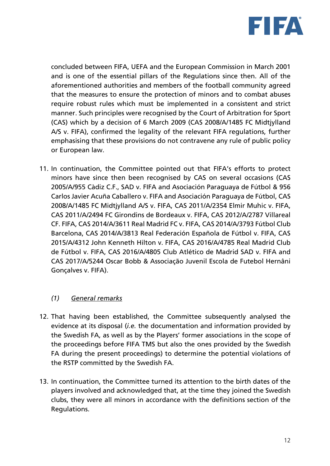

concluded between FIFA, UEFA and the European Commission in March 2001 and is one of the essential pillars of the Regulations since then. All of the aforementioned authorities and members of the football community agreed that the measures to ensure the protection of minors and to combat abuses require robust rules which must be implemented in a consistent and strict manner. Such principles were recognised by the Court of Arbitration for Sport (CAS) which by a decision of 6 March 2009 (CAS 2008/A/1485 FC Midtjylland A/S v. FIFA), confirmed the legality of the relevant FIFA regulations, further emphasising that these provisions do not contravene any rule of public policy or European law.

11. In continuation, the Committee pointed out that FIFA's efforts to protect minors have since then been recognised by CAS on several occasions (CAS 2005/A/955 Càdiz C.F., SAD v. FIFA and Asociación Paraguaya de Fútbol & 956 Carlos Javier Acuña Caballero v. FIFA and Asociación Paraguaya de Fútbol, CAS 2008/A/1485 FC Midtjylland A/S v. FIFA, CAS 2011/A/2354 Elmir Muhic v. FIFA, CAS 2011/A/2494 FC Girondins de Bordeaux v. FIFA, CAS 2012/A/2787 Villareal CF. FIFA, CAS 2014/A/3611 Real Madrid FC v. FIFA, CAS 2014/A/3793 Fútbol Club Barcelona, CAS 2014/A/3813 Real Federación Española de Fútbol v. FIFA, CAS 2015/A/4312 John Kenneth Hilton v. FIFA, CAS 2016/A/4785 Real Madrid Club de Fútbol v. FIFA, CAS 2016/A/4805 Club Atlético de Madrid SAD v. FIFA and CAS 2017/A/5244 Oscar Bobb & Associação Juvenil Escola de Futebol Hernâni Gonçalves v. FIFA).

#### *(1) General remarks*

- 12. That having been established, the Committee subsequently analysed the evidence at its disposal (*i.e.* the documentation and information provided by the Swedish FA, as well as by the Players' former associations in the scope of the proceedings before FIFA TMS but also the ones provided by the Swedish FA during the present proceedings) to determine the potential violations of the RSTP committed by the Swedish FA.
- 13. In continuation, the Committee turned its attention to the birth dates of the players involved and acknowledged that, at the time they joined the Swedish clubs, they were all minors in accordance with the definitions section of the Regulations.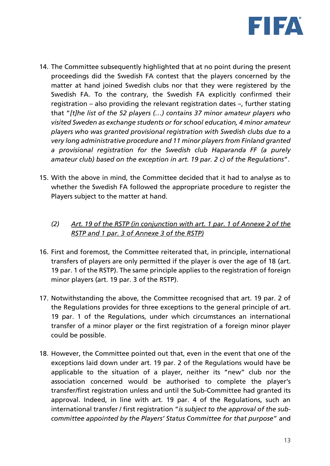

- 14. The Committee subsequently highlighted that at no point during the present proceedings did the Swedish FA contest that the players concerned by the matter at hand joined Swedish clubs nor that they were registered by the Swedish FA. To the contrary, the Swedish FA explicitly confirmed their registration – also providing the relevant registration dates –, further stating that "*[t]he list of the 52 players (…) contains 37 minor amateur players who visited Sweden as exchange students or for school education, 4 minor amateur players who was granted provisional registration with Swedish clubs due to a very long administrative procedure and 11 minor players from Finland granted a provisional registration for the Swedish club Haparanda FF (a purely amateur club) based on the exception in art. 19 par. 2 c) of the Regulations*".
- 15. With the above in mind, the Committee decided that it had to analyse as to whether the Swedish FA followed the appropriate procedure to register the Players subject to the matter at hand.
	- *(2) Art. 19 of the RSTP (in conjunction with art. 1 par. 1 of Annexe 2 of the RSTP and 1 par. 3 of Annexe 3 of the RSTP)*
- 16. First and foremost, the Committee reiterated that, in principle, international transfers of players are only permitted if the player is over the age of 18 (art. 19 par. 1 of the RSTP). The same principle applies to the registration of foreign minor players (art. 19 par. 3 of the RSTP).
- 17. Notwithstanding the above, the Committee recognised that art. 19 par. 2 of the Regulations provides for three exceptions to the general principle of art. 19 par. 1 of the Regulations, under which circumstances an international transfer of a minor player or the first registration of a foreign minor player could be possible.
- 18. However, the Committee pointed out that, even in the event that one of the exceptions laid down under art. 19 par. 2 of the Regulations would have be applicable to the situation of a player, neither its "new" club nor the association concerned would be authorised to complete the player's transfer/first registration unless and until the Sub-Committee had granted its approval. Indeed, in line with art. 19 par. 4 of the Regulations, such an international transfer / first registration "*is subject to the approval of the subcommittee appointed by the Players' Status Committee for that purpose*" and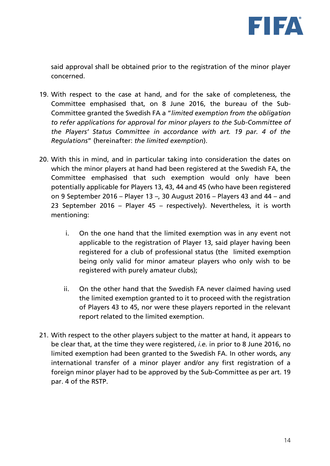

said approval shall be obtained prior to the registration of the minor player concerned.

- 19. With respect to the case at hand, and for the sake of completeness, the Committee emphasised that, on 8 June 2016, the bureau of the Sub-Committee granted the Swedish FA a "*limited exemption from the obligation to refer applications for approval for minor players to the Sub-Committee of the Players' Status Committee in accordance with art. 19 par. 4 of the Regulations*" (hereinafter: *the limited exemption*).
- 20. With this in mind, and in particular taking into consideration the dates on which the minor players at hand had been registered at the Swedish FA, the Committee emphasised that such exemption would only have been potentially applicable for Players 13, 43, 44 and 45 (who have been registered on 9 September 2016 – Player 13 –, 30 August 2016 – Players 43 and 44 – and 23 September 2016 – Player 45 – respectively). Nevertheless, it is worth mentioning:
	- i. On the one hand that the limited exemption was in any event not applicable to the registration of Player 13, said player having been registered for a club of professional status (the limited exemption being only valid for minor amateur players who only wish to be registered with purely amateur clubs);
	- ii. On the other hand that the Swedish FA never claimed having used the limited exemption granted to it to proceed with the registration of Players 43 to 45, nor were these players reported in the relevant report related to the limited exemption.
- 21. With respect to the other players subject to the matter at hand, it appears to be clear that, at the time they were registered, *i.e.* in prior to 8 June 2016, no limited exemption had been granted to the Swedish FA. In other words, any international transfer of a minor player and/or any first registration of a foreign minor player had to be approved by the Sub-Committee as per art. 19 par. 4 of the RSTP.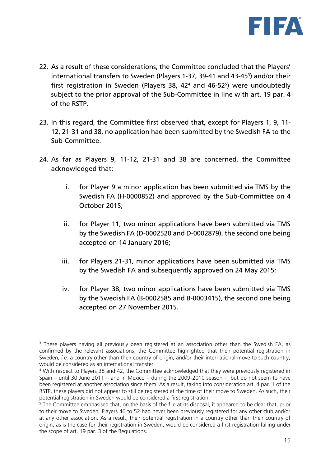

- 22. As a result of these considerations, the Committee concluded that the Players' international transfers to Sweden (Players 1-37, 39-41 and 43-45<sup>3</sup>) and/or their first registration in Sweden (Players 38, 42<sup>4</sup> and 46-52<sup>5</sup>) were undoubtedly subject to the prior approval of the Sub-Committee in line with art. 19 par. 4 of the RSTP.
- 23. In this regard, the Committee first observed that, except for Players 1, 9, 11- 12, 21-31 and 38, no application had been submitted by the Swedish FA to the Sub-Committee.
- 24. As far as Players 9, 11-12, 21-31 and 38 are concerned, the Committee acknowledged that:
	- i. for Player 9 a minor application has been submitted via TMS by the Swedish FA (H-0000852) and approved by the Sub-Committee on 4 October 2015;
	- ii. for Player 11, two minor applications have been submitted via TMS by the Swedish FA (D-0002520 and D-0002879), the second one being accepted on 14 January 2016;
	- iii. for Players 21-31, minor applications have been submitted via TMS by the Swedish FA and subsequently approved on 24 May 2015;
	- iv. for Player 38, two minor applications have been submitted via TMS by the Swedish FA (B-0002585 and B-0003415), the second one being accepted on 27 November 2015.

 $\overline{a}$ <sup>3</sup> These players having all previously been registered at an association other than the Swedish FA, as confirmed by the relevant associations, the Committee highlighted that their potential registration in Sweden, *i.e.* a country other than their country of origin, and/or their international move to such country, would be considered as an international transfer

<sup>4</sup> With respect to Players 38 and 42, the Committee acknowledged that they were previously registered in Spain – until 30 June 2011 – and in Mexico – during the 2009-2010 season –, but do not seem to have been registered at another association since them. As a result, taking into consideration art. 4 par. 1 of the RSTP, these players did not appear to still be registered at the time of their move to Sweden. As such, their potential registration in Sweden would be considered a first registration.

<sup>5</sup> The Committee emphasised that, on the basis of the file at its disposal, it appeared to be clear that, prior to their move to Sweden, Players 46 to 52 had never been previously registered for any other club and/or at any other association. As a result, their potential registration in a country other than their country of origin, as is the case for their registration in Sweden, would be considered a first registration falling under the scope of art. 19 par. 3 of the Regulations.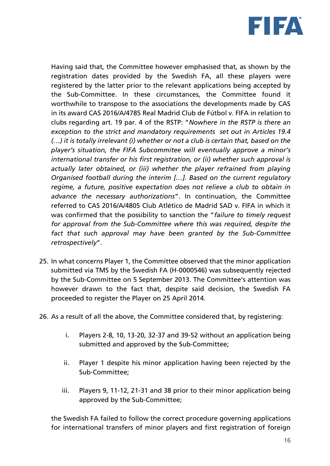

Having said that, the Committee however emphasised that, as shown by the registration dates provided by the Swedish FA, all these players were registered by the latter prior to the relevant applications being accepted by the Sub-Committee. In these circumstances, the Committee found it worthwhile to transpose to the associations the developments made by CAS in its award CAS 2016/A/4785 Real Madrid Club de Fútbol v. FIFA in relation to clubs regarding art. 19 par. 4 of the RSTP: "*Nowhere in the RSTP is there an exception to the strict and mandatory requirements set out in Articles 19.4 (…) it is totally irrelevant (i) whether or not a club is certain that, based on the player's situation, the FIFA Subcommitee will eventually approve a minor's international transfer or his first registration, or (ii) whether such approval is actually later obtained, or (iii) whether the player refrained from playing Organised football during the interim […]. Based on the current regulatory regime, a future, positive expectation does not relieve a club to obtain in advance the necessary authorizations*". In continuation, the Committee referred to CAS 2016/A/4805 Club Atlético de Madrid SAD v. FIFA in which it was confirmed that the possibility to sanction the "*failure to timely request for approval from the Sub-Committee where this was required, despite the fact that such approval may have been granted by the Sub-Committee retrospectively*".

- 25. In what concerns Player 1, the Committee observed that the minor application submitted via TMS by the Swedish FA (H-0000546) was subsequently rejected by the Sub-Committee on 5 September 2013. The Committee's attention was however drawn to the fact that, despite said decision, the Swedish FA proceeded to register the Player on 25 April 2014.
- 26. As a result of all the above, the Committee considered that, by registering:
	- i. Players 2-8, 10, 13-20, 32-37 and 39-52 without an application being submitted and approved by the Sub-Committee;
	- ii. Player 1 despite his minor application having been rejected by the Sub-Committee;
	- iii. Players 9, 11-12, 21-31 and 38 prior to their minor application being approved by the Sub-Committee;

the Swedish FA failed to follow the correct procedure governing applications for international transfers of minor players and first registration of foreign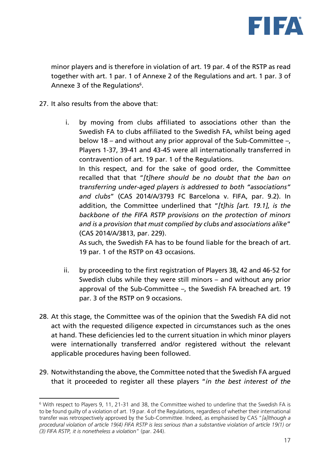

minor players and is therefore in violation of art. 19 par. 4 of the RSTP as read together with art. 1 par. 1 of Annexe 2 of the Regulations and art. 1 par. 3 of Annexe 3 of the Regulations<sup>6</sup>.

27. It also results from the above that:

 $\overline{a}$ 

i. by moving from clubs affiliated to associations other than the Swedish FA to clubs affiliated to the Swedish FA, whilst being aged below 18 – and without any prior approval of the Sub-Committee –, Players 1-37, 39-41 and 43-45 were all internationally transferred in contravention of art. 19 par. 1 of the Regulations. In this respect, and for the sake of good order, the Committee recalled that that "*[t]here should be no doubt that the ban on transferring under-aged players is addressed to both "associations" and clubs*" (CAS 2014/A/3793 FC Barcelona v. FIFA, par. 9.2). In addition, the Committee underlined that "*[t]his [art. 19.1], is the backbone of the FIFA RSTP provisions on the protection of minors and is a provision that must complied by clubs and associations alike*" (CAS 2014/A/3813, par. 229).

As such, the Swedish FA has to be found liable for the breach of art. 19 par. 1 of the RSTP on 43 occasions.

- ii. by proceeding to the first registration of Players 38, 42 and 46-52 for Swedish clubs while they were still minors – and without any prior approval of the Sub-Committee –, the Swedish FA breached art. 19 par. 3 of the RSTP on 9 occasions.
- 28. At this stage, the Committee was of the opinion that the Swedish FA did not act with the requested diligence expected in circumstances such as the ones at hand. These deficiencies led to the current situation in which minor players were internationally transferred and/or registered without the relevant applicable procedures having been followed.
- 29. Notwithstanding the above, the Committee noted that the Swedish FA argued that it proceeded to register all these players "*in the best interest of the*

<sup>6</sup> With respect to Players 9, 11, 21-31 and 38, the Committee wished to underline that the Swedish FA is to be found guilty of a violation of art. 19 par. 4 of the Regulations, regardless of whether their international transfer was retrospectively approved by the Sub-Committee. Indeed, as emphasised by CAS "*[a]lthough a procedural violation of article 19(4) FIFA RSTP is less serious than a substantive violation of article 19(1) or (3) FIFA RSTP, it is nonetheless a violation*" (par. 244).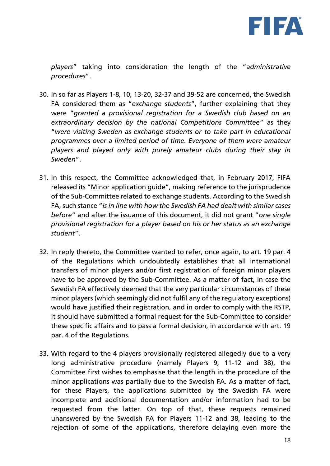

*players*" taking into consideration the length of the "*administrative procedures*".

- 30. In so far as Players 1-8, 10, 13-20, 32-37 and 39-52 are concerned, the Swedish FA considered them as "*exchange students*", further explaining that they were "*granted a provisional registration for a Swedish club based on an extraordinary decision by the national Competitions Committee*" as they "*were visiting Sweden as exchange students or to take part in educational programmes over a limited period of time. Everyone of them were amateur players and played only with purely amateur clubs during their stay in Sweden*".
- 31. In this respect, the Committee acknowledged that, in February 2017, FIFA released its "Minor application guide", making reference to the jurisprudence of the Sub-Committee related to exchange students. According to the Swedish FA, such stance "*is in line with how the Swedish FA had dealt with similar cases before*" and after the issuance of this document, it did not grant "*one single provisional registration for a player based on his or her status as an exchange student*".
- 32. In reply thereto, the Committee wanted to refer, once again, to art. 19 par. 4 of the Regulations which undoubtedly establishes that all international transfers of minor players and/or first registration of foreign minor players have to be approved by the Sub-Committee. As a matter of fact, in case the Swedish FA effectively deemed that the very particular circumstances of these minor players (which seemingly did not fulfil any of the regulatory exceptions) would have justified their registration, and in order to comply with the RSTP, it should have submitted a formal request for the Sub-Committee to consider these specific affairs and to pass a formal decision, in accordance with art. 19 par. 4 of the Regulations.
- 33. With regard to the 4 players provisionally registered allegedly due to a very long administrative procedure (namely Players 9, 11-12 and 38), the Committee first wishes to emphasise that the length in the procedure of the minor applications was partially due to the Swedish FA. As a matter of fact, for these Players, the applications submitted by the Swedish FA were incomplete and additional documentation and/or information had to be requested from the latter. On top of that, these requests remained unanswered by the Swedish FA for Players 11-12 and 38, leading to the rejection of some of the applications, therefore delaying even more the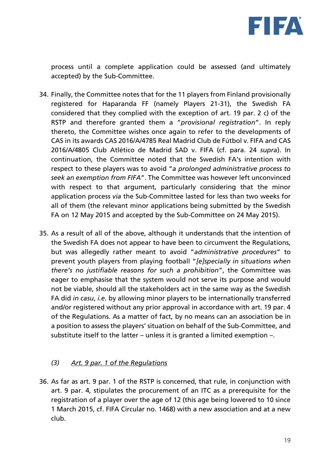

process until a complete application could be assessed (and ultimately accepted) by the Sub-Committee.

- 34. Finally, the Committee notes that for the 11 players from Finland provisionally registered for Haparanda FF (namely Players 21-31), the Swedish FA considered that they complied with the exception of art. 19 par. 2 c) of the RSTP and therefore granted them a "*provisional registration*". In reply thereto, the Committee wishes once again to refer to the developments of CAS in its awards CAS 2016/A/4785 Real Madrid Club de Fútbol v. FIFA and CAS 2016/A/4805 Club Atlético de Madrid SAD v. FIFA (cf. para. 24 *supra*). In continuation, the Committee noted that the Swedish FA's intention with respect to these players was to avoid "*a prolonged administrative process to seek an exemption from FIFA*". The Committee was however left unconvinced with respect to that argument, particularly considering that the minor application process *via* the Sub-Committee lasted for less than two weeks for all of them (the relevant minor applications being submitted by the Swedish FA on 12 May 2015 and accepted by the Sub-Committee on 24 May 2015).
- 35. As a result of all of the above, although it understands that the intention of the Swedish FA does not appear to have been to circumvent the Regulations, but was allegedly rather meant to avoid "*administrative procedures*" to prevent youth players from playing football "*[e]specially in situations when there's no justifiable reasons for such a prohibition*", the Committee was eager to emphasise that the system would not serve its purpose and would not be viable, should all the stakeholders act in the same way as the Swedish FA did *in casu*, *i.e.* by allowing minor players to be internationally transferred and/or registered without any prior approval in accordance with art. 19 par. 4 of the Regulations. As a matter of fact, by no means can an association be in a position to assess the players' situation on behalf of the Sub-Committee, and substitute itself to the latter – unless it is granted a limited exemption –.

#### *(3) Art. 9 par. 1 of the Regulations*

36. As far as art. 9 par. 1 of the RSTP is concerned, that rule, in conjunction with art. 9 par. 4, stipulates the procurement of an ITC as a prerequisite for the registration of a player over the age of 12 (this age being lowered to 10 since 1 March 2015, cf. FIFA Circular no. 1468) with a new association and at a new club.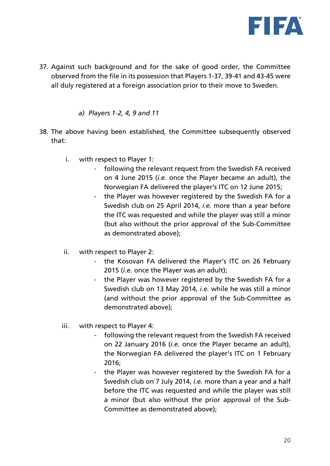

37. Against such background and for the sake of good order, the Committee observed from the file in its possession that Players 1-37, 39-41 and 43-45 were all duly registered at a foreign association prior to their move to Sweden.

*a) Players 1-2, 4, 9 and 11*

- 38. The above having been established, the Committee subsequently observed that:
	- i. with respect to Player 1:
		- following the relevant request from the Swedish FA received on 4 June 2015 (*i.e.* once the Player became an adult), the Norwegian FA delivered the player's ITC on 12 June 2015;
		- the Player was however registered by the Swedish FA for a Swedish club on 25 April 2014, *i.e.* more than a year before the ITC was requested and while the player was still a minor (but also without the prior approval of the Sub-Committee as demonstrated above);
	- ii. with respect to Player 2:
		- the Kosovan FA delivered the Player's ITC on 26 February 2015 (*i.e.* once the Player was an adult);
		- the Player was however registered by the Swedish FA for a Swedish club on 13 May 2014, *i.e.* while he was still a minor (and without the prior approval of the Sub-Committee as demonstrated above);
	- iii. with respect to Player 4:
		- following the relevant request from the Swedish FA received on 22 January 2016 (*i.e.* once the Player became an adult), the Norwegian FA delivered the player's ITC on 1 February 2016;
		- the Player was however registered by the Swedish FA for a Swedish club on 7 July 2014, *i.e.* more than a year and a half before the ITC was requested and while the player was still a minor (but also without the prior approval of the Sub-Committee as demonstrated above);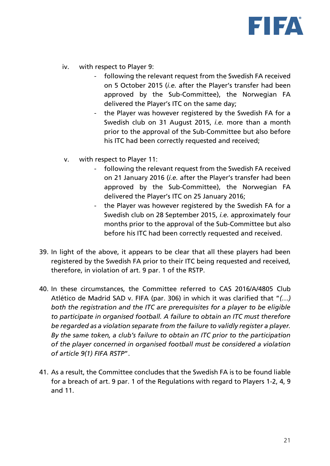

- iv. with respect to Player 9:
	- following the relevant request from the Swedish FA received on 5 October 2015 (*i.e.* after the Player's transfer had been approved by the Sub-Committee), the Norwegian FA delivered the Player's ITC on the same day;
	- the Player was however registered by the Swedish FA for a Swedish club on 31 August 2015, *i.e.* more than a month prior to the approval of the Sub-Committee but also before his ITC had been correctly requested and received;
- v. with respect to Player 11:
	- following the relevant request from the Swedish FA received on 21 January 2016 (*i.e.* after the Player's transfer had been approved by the Sub-Committee), the Norwegian FA delivered the Player's ITC on 25 January 2016;
	- the Player was however registered by the Swedish FA for a Swedish club on 28 September 2015, *i.e.* approximately four months prior to the approval of the Sub-Committee but also before his ITC had been correctly requested and received.
- 39. In light of the above, it appears to be clear that all these players had been registered by the Swedish FA prior to their ITC being requested and received, therefore, in violation of art. 9 par. 1 of the RSTP.
- 40. In these circumstances, the Committee referred to CAS 2016/A/4805 Club Atlético de Madrid SAD v. FIFA (par. 306) in which it was clarified that "*(…) both the registration and the ITC are prerequisites for a player to be eligible to participate in organised football. A failure to obtain an ITC must therefore be regarded as a violation separate from the failure to validly register a player. By the same token, a club's failure to obtain an ITC prior to the participation of the player concerned in organised football must be considered a violation of article 9(1) FIFA RSTP*".
- 41. As a result, the Committee concludes that the Swedish FA is to be found liable for a breach of art. 9 par. 1 of the Regulations with regard to Players 1-2, 4, 9 and 11.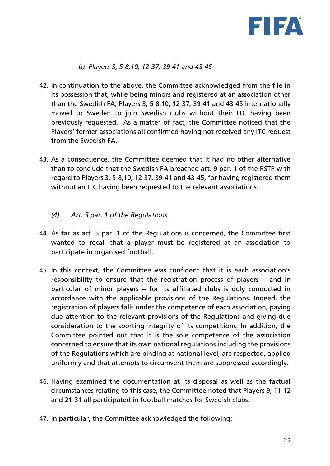

#### *b) Players 3, 5-8,10, 12-37, 39-41 and 43-45*

- 42. In continuation to the above, the Committee acknowledged from the file in its possession that, while being minors and registered at an association other than the Swedish FA, Players 3, 5-8,10, 12-37, 39-41 and 43-45 internationally moved to Sweden to join Swedish clubs without their ITC having been previously requested. As a matter of fact, the Committee noticed that the Players' former associations all confirmed having not received any ITC request from the Swedish FA.
- 43. As a consequence, the Committee deemed that it had no other alternative than to conclude that the Swedish FA breached art. 9 par. 1 of the RSTP with regard to Players 3, 5-8,10, 12-37, 39-41 and 43-45, for having registered them without an ITC having been requested to the relevant associations.
	- *(4) Art. 5 par. 1 of the Regulations*
- 44. As far as art. 5 par. 1 of the Regulations is concerned, the Committee first wanted to recall that a player must be registered at an association to participate in organised football.
- 45. In this context, the Committee was confident that it is each association's responsibility to ensure that the registration process of players – and in particular of minor players – for its affiliated clubs is duly conducted in accordance with the applicable provisions of the Regulations. Indeed, the registration of players falls under the competence of each association, paying due attention to the relevant provisions of the Regulations and giving due consideration to the sporting integrity of its competitions. In addition, the Committee pointed out that it is the sole competence of the association concerned to ensure that its own national regulations including the provisions of the Regulations which are binding at national level, are respected, applied uniformly and that attempts to circumvent them are suppressed accordingly.
- 46. Having examined the documentation at its disposal as well as the factual circumstances relating to this case, the Committee noted that Players 9, 11-12 and 21-31 all participated in football matches for Swedish clubs.
- 47. In particular, the Committee acknowledged the following: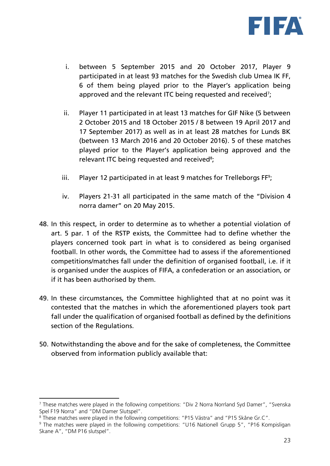

- i. between 5 September 2015 and 20 October 2017, Player 9 participated in at least 93 matches for the Swedish club Umea IK FF, 6 of them being played prior to the Player's application being approved and the relevant ITC being requested and received<sup>7</sup>;
- ii. Player 11 participated in at least 13 matches for GIF Nike (5 between 2 October 2015 and 18 October 2015 / 8 between 19 April 2017 and 17 September 2017) as well as in at least 28 matches for Lunds BK (between 13 March 2016 and 20 October 2016). 5 of these matches played prior to the Player's application being approved and the relevant ITC being requested and received<sup>8</sup>;
- iii. Player 12 participated in at least 9 matches for Trelleborgs FF<sup>9</sup>;
- iv. Players 21-31 all participated in the same match of the "Division 4 norra damer" on 20 May 2015.
- 48. In this respect, in order to determine as to whether a potential violation of art. 5 par. 1 of the RSTP exists, the Committee had to define whether the players concerned took part in what is to considered as being organised football. In other words, the Committee had to assess if the aforementioned competitions/matches fall under the definition of organised football, i.e. if it is organised under the auspices of FIFA, a confederation or an association, or if it has been authorised by them.
- 49. In these circumstances, the Committee highlighted that at no point was it contested that the matches in which the aforementioned players took part fall under the qualification of organised football as defined by the definitions section of the Regulations.
- 50. Notwithstanding the above and for the sake of completeness, the Committee observed from information publicly available that:

 $\overline{a}$ 

<sup>7</sup> These matches were played in the following competitions: "Div 2 Norra Norrland Syd Damer", "Svenska Spel F19 Norra" and "DM Damer Slutspel".

<sup>8</sup> These matches were played in the following competitions: "P15 Västra" and "P15 Skåne Gr.C".

<sup>9</sup> The matches were played in the following competitions: "U16 Nationell Grupp 5", "P16 Kompisligan Skane A", "DM P16 slutspel".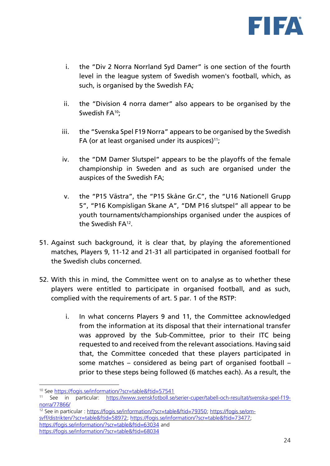

- i. the "Div 2 Norra Norrland Syd Damer" is one section of the fourth level in the league system of Swedish women's football, which, as such, is organised by the Swedish FA;
- ii. the "Division 4 norra damer" also appears to be organised by the Swedish FA<sup>10</sup>:
- iii. the "Svenska Spel F19 Norra" appears to be organised by the Swedish FA (or at least organised under its auspices) $11$ ;
- iv. the "DM Damer Slutspel" appears to be the playoffs of the female championship in Sweden and as such are organised under the auspices of the Swedish FA;
- v. the "P15 Västra", the "P15 Skåne Gr.C", the "U16 Nationell Grupp 5", "P16 Kompisligan Skane A", "DM P16 slutspel" all appear to be youth tournaments/championships organised under the auspices of the Swedish FA<sup>12</sup> .
- 51. Against such background, it is clear that, by playing the aforementioned matches, Players 9, 11-12 and 21-31 all participated in organised football for the Swedish clubs concerned.
- 52. With this in mind, the Committee went on to analyse as to whether these players were entitled to participate in organised football, and as such, complied with the requirements of art. 5 par. 1 of the RSTP:
	- i. In what concerns Players 9 and 11, the Committee acknowledged from the information at its disposal that their international transfer was approved by the Sub-Committee, prior to their ITC being requested to and received from the relevant associations. Having said that, the Committee conceded that these players participated in some matches – considered as being part of organised football – prior to these steps being followed (6 matches each). As a result, the

<sup>&</sup>lt;sup>10</sup> See<https://fogis.se/information/?scr=table&ftid=57541><br><sup>11</sup> See in particular: https://www.svenskfotboll.se

<sup>11</sup> See in particular: [https://www.svenskfotboll.se/serier-cuper/tabell-och-resultat/svenska-spel-f19](https://www.svenskfotboll.se/serier-cuper/tabell-och-resultat/svenska-spel-f19-norra/77866/) [norra/77866/](https://www.svenskfotboll.se/serier-cuper/tabell-och-resultat/svenska-spel-f19-norra/77866/)

<sup>&</sup>lt;sup>12</sup> See in particular : [https://fogis.se/information/?scr=table&ftid=79350;](https://fogis.se/information/?scr=table&ftid=79350) [https://fogis.se/om](https://fogis.se/om-svff/distrikten/?scr=table&ftid=58972)[svff/distrikten/?scr=table&ftid=58972;](https://fogis.se/om-svff/distrikten/?scr=table&ftid=58972) [https://fogis.se/information/?scr=table&ftid=73477;](https://fogis.se/information/?scr=table&ftid=73477) <https://fogis.se/information/?scr=table&ftid=63034> and <https://fogis.se/information/?scr=table&ftid=68034>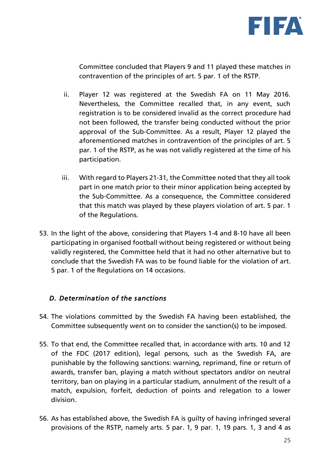

Committee concluded that Players 9 and 11 played these matches in contravention of the principles of art. 5 par. 1 of the RSTP.

- ii. Player 12 was registered at the Swedish FA on 11 May 2016. Nevertheless, the Committee recalled that, in any event, such registration is to be considered invalid as the correct procedure had not been followed, the transfer being conducted without the prior approval of the Sub-Committee. As a result, Player 12 played the aforementioned matches in contravention of the principles of art. 5 par. 1 of the RSTP, as he was not validly registered at the time of his participation.
- iii. With regard to Players 21-31, the Committee noted that they all took part in one match prior to their minor application being accepted by the Sub-Committee. As a consequence, the Committee considered that this match was played by these players violation of art. 5 par. 1 of the Regulations.
- 53. In the light of the above, considering that Players 1-4 and 8-10 have all been participating in organised football without being registered or without being validly registered, the Committee held that it had no other alternative but to conclude that the Swedish FA was to be found liable for the violation of art. 5 par. 1 of the Regulations on 14 occasions.

#### *D. Determination of the sanctions*

- 54. The violations committed by the Swedish FA having been established, the Committee subsequently went on to consider the sanction(s) to be imposed.
- 55. To that end, the Committee recalled that, in accordance with arts. 10 and 12 of the FDC (2017 edition), legal persons, such as the Swedish FA, are punishable by the following sanctions: warning, reprimand, fine or return of awards, transfer ban, playing a match without spectators and/or on neutral territory, ban on playing in a particular stadium, annulment of the result of a match, expulsion, forfeit, deduction of points and relegation to a lower division.
- 56. As has established above, the Swedish FA is guilty of having infringed several provisions of the RSTP, namely arts. 5 par. 1, 9 par. 1, 19 pars. 1, 3 and 4 as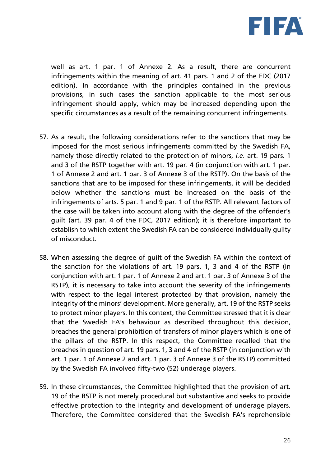

well as art. 1 par. 1 of Annexe 2. As a result, there are concurrent infringements within the meaning of art. 41 pars. 1 and 2 of the FDC (2017 edition). In accordance with the principles contained in the previous provisions, in such cases the sanction applicable to the most serious infringement should apply, which may be increased depending upon the specific circumstances as a result of the remaining concurrent infringements.

- 57. As a result, the following considerations refer to the sanctions that may be imposed for the most serious infringements committed by the Swedish FA, namely those directly related to the protection of minors, *i.e.* art. 19 pars. 1 and 3 of the RSTP together with art. 19 par. 4 (in conjunction with art. 1 par. 1 of Annexe 2 and art. 1 par. 3 of Annexe 3 of the RSTP). On the basis of the sanctions that are to be imposed for these infringements, it will be decided below whether the sanctions must be increased on the basis of the infringements of arts. 5 par. 1 and 9 par. 1 of the RSTP. All relevant factors of the case will be taken into account along with the degree of the offender's guilt (art. 39 par. 4 of the FDC, 2017 edition); it is therefore important to establish to which extent the Swedish FA can be considered individually guilty of misconduct.
- 58. When assessing the degree of guilt of the Swedish FA within the context of the sanction for the violations of art. 19 pars. 1, 3 and 4 of the RSTP (in conjunction with art. 1 par. 1 of Annexe 2 and art. 1 par. 3 of Annexe 3 of the RSTP), it is necessary to take into account the severity of the infringements with respect to the legal interest protected by that provision, namely the integrity of the minors' development. More generally, art. 19 of the RSTP seeks to protect minor players. In this context, the Committee stressed that it is clear that the Swedish FA's behaviour as described throughout this decision, breaches the general prohibition of transfers of minor players which is one of the pillars of the RSTP. In this respect, the Committee recalled that the breaches in question of art. 19 pars. 1, 3 and 4 of the RSTP (in conjunction with art. 1 par. 1 of Annexe 2 and art. 1 par. 3 of Annexe 3 of the RSTP) committed by the Swedish FA involved fifty-two (52) underage players.
- 59. In these circumstances, the Committee highlighted that the provision of art. 19 of the RSTP is not merely procedural but substantive and seeks to provide effective protection to the integrity and development of underage players. Therefore, the Committee considered that the Swedish FA's reprehensible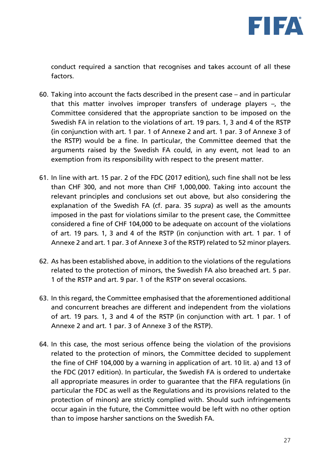

conduct required a sanction that recognises and takes account of all these factors.

- 60. Taking into account the facts described in the present case and in particular that this matter involves improper transfers of underage players –, the Committee considered that the appropriate sanction to be imposed on the Swedish FA in relation to the violations of art. 19 pars. 1, 3 and 4 of the RSTP (in conjunction with art. 1 par. 1 of Annexe 2 and art. 1 par. 3 of Annexe 3 of the RSTP) would be a fine. In particular, the Committee deemed that the arguments raised by the Swedish FA could, in any event, not lead to an exemption from its responsibility with respect to the present matter.
- 61. In line with art. 15 par. 2 of the FDC (2017 edition), such fine shall not be less than CHF 300, and not more than CHF 1,000,000. Taking into account the relevant principles and conclusions set out above, but also considering the explanation of the Swedish FA (cf. para. 35 *supra*) as well as the amounts imposed in the past for violations similar to the present case, the Committee considered a fine of CHF 104,000 to be adequate on account of the violations of art. 19 pars. 1, 3 and 4 of the RSTP (in conjunction with art. 1 par. 1 of Annexe 2 and art. 1 par. 3 of Annexe 3 of the RSTP) related to 52 minor players.
- 62. As has been established above, in addition to the violations of the regulations related to the protection of minors, the Swedish FA also breached art. 5 par. 1 of the RSTP and art. 9 par. 1 of the RSTP on several occasions.
- 63. In this regard, the Committee emphasised that the aforementioned additional and concurrent breaches are different and independent from the violations of art. 19 pars. 1, 3 and 4 of the RSTP (in conjunction with art. 1 par. 1 of Annexe 2 and art. 1 par. 3 of Annexe 3 of the RSTP).
- 64. In this case, the most serious offence being the violation of the provisions related to the protection of minors, the Committee decided to supplement the fine of CHF 104,000 by a warning in application of art. 10 lit. a) and 13 of the FDC (2017 edition). In particular, the Swedish FA is ordered to undertake all appropriate measures in order to guarantee that the FIFA regulations (in particular the FDC as well as the Regulations and its provisions related to the protection of minors) are strictly complied with. Should such infringements occur again in the future, the Committee would be left with no other option than to impose harsher sanctions on the Swedish FA.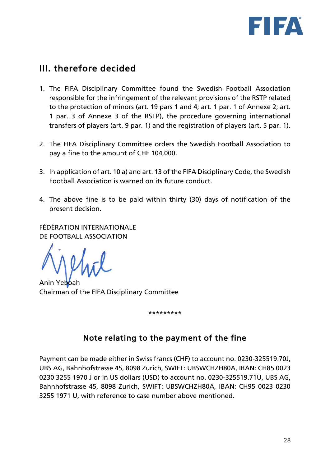

# III. therefore decided

- 1. The FIFA Disciplinary Committee found the Swedish Football Association responsible for the infringement of the relevant provisions of the RSTP related to the protection of minors (art. 19 pars 1 and 4; art. 1 par. 1 of Annexe 2; art. 1 par. 3 of Annexe 3 of the RSTP), the procedure governing international transfers of players (art. 9 par. 1) and the registration of players (art. 5 par. 1).
- 2. The FIFA Disciplinary Committee orders the Swedish Football Association to pay a fine to the amount of CHF 104,000.
- 3. In application of art. 10 a) and art. 13 of the FIFA Disciplinary Code, the Swedish Football Association is warned on its future conduct.
- 4. The above fine is to be paid within thirty (30) days of notification of the present decision.

FÉDÉRATION INTERNATIONALE DE FOOTBALL ASSOCIATION

Anin Yeboah Chairman of the FIFA Disciplinary Committee

\*\*\*\*\*\*\*\*\*

# Note relating to the payment of the fine

Payment can be made either in Swiss francs (CHF) to account no. 0230-325519.70J, UBS AG, Bahnhofstrasse 45, 8098 Zurich, SWIFT: UBSWCHZH80A, IBAN: CH85 0023 0230 3255 1970 J or in US dollars (USD) to account no. 0230-325519.71U, UBS AG, Bahnhofstrasse 45, 8098 Zurich, SWIFT: UBSWCHZH80A, IBAN: CH95 0023 0230 3255 1971 U, with reference to case number above mentioned.